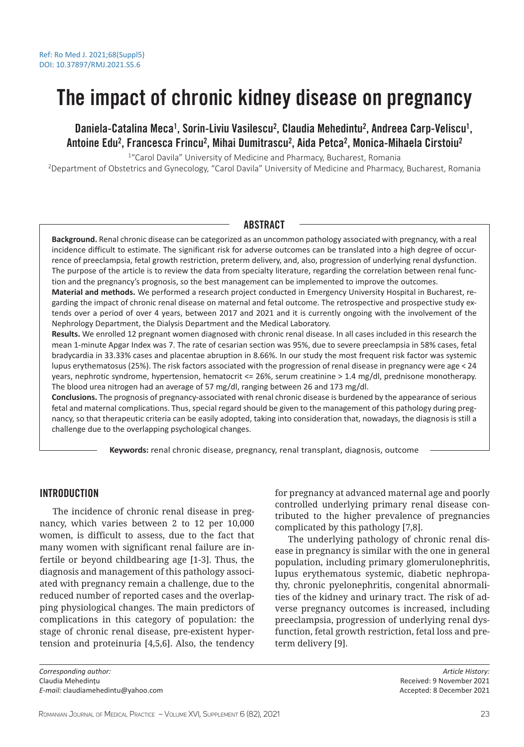# The impact of chronic kidney disease on pregnancy

Daniela-Catalina Meca<sup>1</sup>, Sorin-Liviu Vasilescu<sup>2</sup>, Claudia Mehedintu<sup>2</sup>, Andreea Carp-Veliscu<sup>1</sup>, Antoine Edu<sup>2</sup>, Francesca Frincu<sup>2</sup>, Mihai Dumitrascu<sup>2</sup>, Aida Petca<sup>2</sup>, Monica-Mihaela Cirstoiu<sup>2</sup>

<sup>1</sup> "Carol Davila" University of Medicine and Pharmacy, Bucharest, Romania

<sup>2</sup>Department of Obstetrics and Gynecology, "Carol Davila" University of Medicine and Pharmacy, Bucharest, Romania

# ABSTRACT

**Background.** Renal chronic disease can be categorized as an uncommon pathology associated with pregnancy, with a real incidence difficult to estimate. The significant risk for adverse outcomes can be translated into a high degree of occurrence of preeclampsia, fetal growth restriction, preterm delivery, and, also, progression of underlying renal dysfunction. The purpose of the article is to review the data from specialty literature, regarding the correlation between renal function and the pregnancy's prognosis, so the best management can be implemented to improve the outcomes.

**Material and methods.** We performed a research project conducted in Emergency University Hospital in Bucharest, regarding the impact of chronic renal disease on maternal and fetal outcome. The retrospective and prospective study extends over a period of over 4 years, between 2017 and 2021 and it is currently ongoing with the involvement of the Nephrology Department, the Dialysis Department and the Medical Laboratory.

**Results.** We enrolled 12 pregnant women diagnosed with chronic renal disease. In all cases included in this research the mean 1-minute Apgar Index was 7. The rate of cesarian section was 95%, due to severe preeclampsia in 58% cases, fetal bradycardia in 33.33% cases and placentae abruption in 8.66%. In our study the most frequent risk factor was systemic lupus erythematosus (25%). The risk factors associated with the progression of renal disease in pregnancy were age < 24 years, nephrotic syndrome, hypertension, hematocrit <= 26%, serum creatinine > 1.4 mg/dl, prednisone monotherapy. The blood urea nitrogen had an average of 57 mg/dl, ranging between 26 and 173 mg/dl.

**Conclusions.** The prognosis of pregnancy-associated with renal chronic disease is burdened by the appearance of serious fetal and maternal complications. Thus, special regard should be given to the management of this pathology during pregnancy, so that therapeutic criteria can be easily adopted, taking into consideration that, nowadays, the diagnosis is still a challenge due to the overlapping psychological changes.

**Keywords:** renal chronic disease, pregnancy, renal transplant, diagnosis, outcome

# INTRODUCTION

The incidence of chronic renal disease in pregnancy, which varies between 2 to 12 per 10,000 women, is difficult to assess, due to the fact that many women with significant renal failure are infertile or beyond childbearing age [1-3]. Thus, the diagnosis and management of this pathology associated with pregnancy remain a challenge, due to the reduced number of reported cases and the overlapping physiological changes. The main predictors of complications in this category of population: the stage of chronic renal disease, pre-existent hypertension and proteinuria [4,5,6]. Also, the tendency

for pregnancy at advanced maternal age and poorly controlled underlying primary renal disease contributed to the higher prevalence of pregnancies complicated by this pathology [7,8].

The underlying pathology of chronic renal disease in pregnancy is similar with the one in general population, including primary glomerulonephritis, lupus erythematous systemic, diabetic nephropathy, chronic pyelonephritis, congenital abnormalities of the kidney and urinary tract. The risk of adverse pregnancy outcomes is increased, including preeclampsia, progression of underlying renal dysfunction, fetal growth restriction, fetal loss and preterm delivery [9].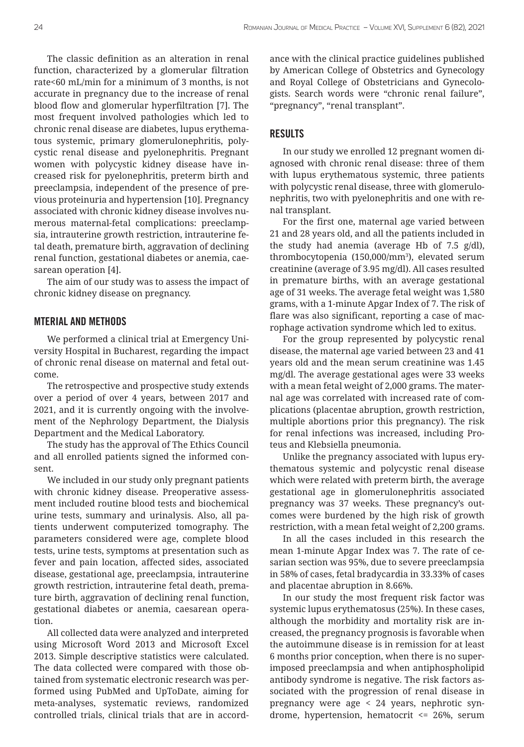The classic definition as an alteration in renal function, characterized by a glomerular filtration rate<60 mL/min for a minimum of 3 months, is not accurate in pregnancy due to the increase of renal blood flow and glomerular hyperfiltration [7]. The most frequent involved pathologies which led to chronic renal disease are diabetes, lupus erythematous systemic, primary glomerulonephritis, polycystic renal disease and pyelonephritis. Pregnant women with polycystic kidney disease have increased risk for pyelonephritis, preterm birth and preeclampsia, independent of the presence of previous proteinuria and hypertension [10]. Pregnancy associated with chronic kidney disease involves numerous maternal-fetal complications: preeclampsia, intrauterine growth restriction, intrauterine fetal death, premature birth, aggravation of declining renal function, gestational diabetes or anemia, caesarean operation [4].

The aim of our study was to assess the impact of chronic kidney disease on pregnancy.

## MTERIAL AND METHODS

We performed a clinical trial at Emergency University Hospital in Bucharest, regarding the impact of chronic renal disease on maternal and fetal outcome.

The retrospective and prospective study extends over a period of over 4 years, between 2017 and 2021, and it is currently ongoing with the involvement of the Nephrology Department, the Dialysis Department and the Medical Laboratory.

The study has the approval of The Ethics Council and all enrolled patients signed the informed consent.

We included in our study only pregnant patients with chronic kidney disease. Preoperative assessment included routine blood tests and biochemical urine tests, summary and urinalysis. Also, all patients underwent computerized tomography. The parameters considered were age, complete blood tests, urine tests, symptoms at presentation such as fever and pain location, affected sides, associated disease, gestational age, preeclampsia, intrauterine growth restriction, intrauterine fetal death, premature birth, aggravation of declining renal function, gestational diabetes or anemia, caesarean operation.

All collected data were analyzed and interpreted using Microsoft Word 2013 and Microsoft Excel 2013. Simple descriptive statistics were calculated. The data collected were compared with those obtained from systematic electronic research was performed using PubMed and UpToDate, aiming for meta-analyses, systematic reviews, randomized controlled trials, clinical trials that are in accordance with the clinical practice guidelines published by American College of Obstetrics and Gynecology and Royal College of Obstetricians and Gynecologists. Search words were "chronic renal failure", "pregnancy", "renal transplant".

# RESULTS

In our study we enrolled 12 pregnant women diagnosed with chronic renal disease: three of them with lupus erythematous systemic, three patients with polycystic renal disease, three with glomerulonephritis, two with pyelonephritis and one with renal transplant.

For the first one, maternal age varied between 21 and 28 years old, and all the patients included in the study had anemia (average Hb of 7.5 g/dl), thrombocytopenia (150,000/mm3 ), elevated serum creatinine (average of 3.95 mg/dl). All cases resulted in premature births, with an average gestational age of 31 weeks. The average fetal weight was 1,580 grams, with a 1-minute Apgar Index of 7. The risk of flare was also significant, reporting a case of macrophage activation syndrome which led to exitus.

For the group represented by polycystic renal disease, the maternal age varied between 23 and 41 years old and the mean serum creatinine was 1.45 mg/dl. The average gestational ages were 33 weeks with a mean fetal weight of 2,000 grams. The maternal age was correlated with increased rate of complications (placentae abruption, growth restriction, multiple abortions prior this pregnancy). The risk for renal infections was increased, including Proteus and Klebsiella pneumonia.

Unlike the pregnancy associated with lupus erythematous systemic and polycystic renal disease which were related with preterm birth, the average gestational age in glomerulonephritis associated pregnancy was 37 weeks. These pregnancy's outcomes were burdened by the high risk of growth restriction, with a mean fetal weight of 2,200 grams.

In all the cases included in this research the mean 1-minute Apgar Index was 7. The rate of cesarian section was 95%, due to severe preeclampsia in 58% of cases, fetal bradycardia in 33.33% of cases and placentae abruption in 8.66%.

In our study the most frequent risk factor was systemic lupus erythematosus (25%). In these cases, although the morbidity and mortality risk are increased, the pregnancy prognosis is favorable when the autoimmune disease is in remission for at least 6 months prior conception, when there is no superimposed preeclampsia and when antiphospholipid antibody syndrome is negative. The risk factors associated with the progression of renal disease in pregnancy were age < 24 years, nephrotic syndrome, hypertension, hematocrit <= 26%, serum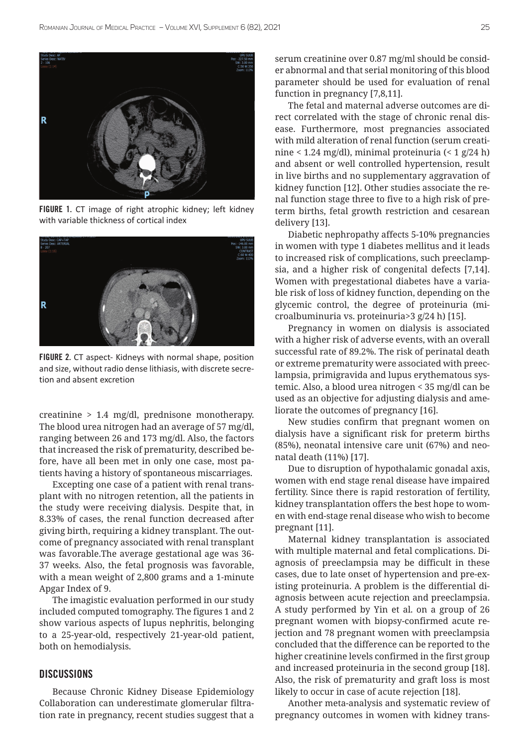

FIGURE 1. CT image of right atrophic kidney; left kidney with variable thickness of cortical index



FIGURE 2. CT aspect- Kidneys with normal shape, position and size, without radio dense lithiasis, with discrete secretion and absent excretion

creatinine > 1.4 mg/dl, prednisone monotherapy. The blood urea nitrogen had an average of 57 mg/dl, ranging between 26 and 173 mg/dl. Also, the factors that increased the risk of prematurity, described before, have all been met in only one case, most patients having a history of spontaneous miscarriages.

Excepting one case of a patient with renal transplant with no nitrogen retention, all the patients in the study were receiving dialysis. Despite that, in 8.33% of cases, the renal function decreased after giving birth, requiring a kidney transplant. The outcome of pregnancy associated with renal transplant was favorable.The average gestational age was 36- 37 weeks. Also, the fetal prognosis was favorable, with a mean weight of 2,800 grams and a 1-minute Apgar Index of 9.

The imagistic evaluation performed in our study included computed tomography. The figures 1 and 2 show various aspects of lupus nephritis, belonging to a 25-year-old, respectively 21-year-old patient, both on hemodialysis.

## **DISCUSSIONS**

Because Chronic Kidney Disease Epidemiology Collaboration can underestimate glomerular filtration rate in pregnancy, recent studies suggest that a serum creatinine over 0.87 mg/ml should be consider abnormal and that serial monitoring of this blood parameter should be used for evaluation of renal function in pregnancy [7,8,11].

The fetal and maternal adverse outcomes are direct correlated with the stage of chronic renal disease. Furthermore, most pregnancies associated with mild alteration of renal function (serum creatinine < 1.24 mg/dl), minimal proteinuria (< 1 g/24 h) and absent or well controlled hypertension, result in live births and no supplementary aggravation of kidney function [12]. Other studies associate the renal function stage three to five to a high risk of preterm births, fetal growth restriction and cesarean delivery [13].

Diabetic nephropathy affects 5-10% pregnancies in women with type 1 diabetes mellitus and it leads to increased risk of complications, such preeclampsia, and a higher risk of congenital defects [7,14]. Women with pregestational diabetes have a variable risk of loss of kidney function, depending on the glycemic control, the degree of proteinuria (microalbuminuria vs. proteinuria>3 g/24 h) [15].

Pregnancy in women on dialysis is associated with a higher risk of adverse events, with an overall successful rate of 89.2%. The risk of perinatal death or extreme prematurity were associated with preeclampsia, primigravida and lupus erythematous systemic. Also, a blood urea nitrogen < 35 mg/dl can be used as an objective for adjusting dialysis and ameliorate the outcomes of pregnancy [16].

New studies confirm that pregnant women on dialysis have a significant risk for preterm births (85%), neonatal intensive care unit (67%) and neonatal death (11%) [17].

Due to disruption of hypothalamic gonadal axis, women with end stage renal disease have impaired fertility. Since there is rapid restoration of fertility, kidney transplantation offers the best hope to women with end-stage renal disease who wish to become pregnant [11].

Maternal kidney transplantation is associated with multiple maternal and fetal complications. Diagnosis of preeclampsia may be difficult in these cases, due to late onset of hypertension and pre-existing proteinuria. A problem is the differential diagnosis between acute rejection and preeclampsia. A study performed by Yin et al. on a group of 26 pregnant women with biopsy-confirmed acute rejection and 78 pregnant women with preeclampsia concluded that the difference can be reported to the higher creatinine levels confirmed in the first group and increased proteinuria in the second group [18]. Also, the risk of prematurity and graft loss is most likely to occur in case of acute rejection [18].

Another meta-analysis and systematic review of pregnancy outcomes in women with kidney trans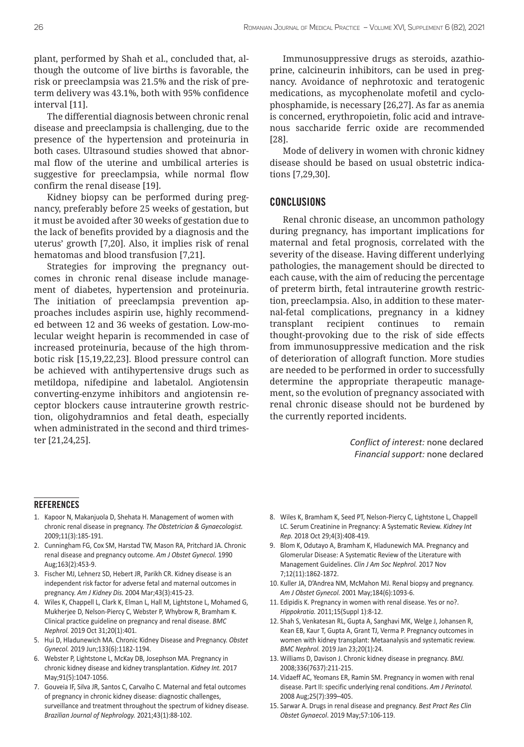plant, performed by Shah et al., concluded that, although the outcome of live births is favorable, the risk or preeclampsia was 21.5% and the risk of preterm delivery was 43.1%, both with 95% confidence interval [11].

The differential diagnosis between chronic renal disease and preeclampsia is challenging, due to the presence of the hypertension and proteinuria in both cases. Ultrasound studies showed that abnormal flow of the uterine and umbilical arteries is suggestive for preeclampsia, while normal flow confirm the renal disease [19].

Kidney biopsy can be performed during pregnancy, preferably before 25 weeks of gestation, but it must be avoided after 30 weeks of gestation due to the lack of benefits provided by a diagnosis and the uterus' growth [7,20]. Also, it implies risk of renal hematomas and blood transfusion [7,21].

Strategies for improving the pregnancy outcomes in chronic renal disease include management of diabetes, hypertension and proteinuria. The initiation of preeclampsia prevention approaches includes aspirin use, highly recommended between 12 and 36 weeks of gestation. Low-molecular weight heparin is recommended in case of increased proteinuria, because of the high thrombotic risk [15,19,22,23]. Blood pressure control can be achieved with antihypertensive drugs such as metildopa, nifedipine and labetalol. Angiotensin converting-enzyme inhibitors and angiotensin receptor blockers cause intrauterine growth restriction, oligohydramnios and fetal death, especially when administrated in the second and third trimester [21,24,25].

Immunosuppressive drugs as steroids, azathioprine, calcineurin inhibitors, can be used in pregnancy. Avoidance of nephrotoxic and teratogenic medications, as mycophenolate mofetil and cyclophosphamide, is necessary [26,27]. As far as anemia is concerned, erythropoietin, folic acid and intravenous saccharide ferric oxide are recommended [28].

Mode of delivery in women with chronic kidney disease should be based on usual obstetric indications [7,29,30].

### **CONCLUSIONS**

Renal chronic disease, an uncommon pathology during pregnancy, has important implications for maternal and fetal prognosis, correlated with the severity of the disease. Having different underlying pathologies, the management should be directed to each cause, with the aim of reducing the percentage of preterm birth, fetal intrauterine growth restriction, preeclampsia. Also, in addition to these maternal-fetal complications, pregnancy in a kidney transplant recipient continues to remain thought-provoking due to the risk of side effects from immunosuppressive medication and the risk of deterioration of allograft function. More studies are needed to be performed in order to successfully determine the appropriate therapeutic management, so the evolution of pregnancy associated with renal chronic disease should not be burdened by the currently reported incidents.

> *Conflict of interest:* none declared *Financial support:* none declared

#### REFERENCES

- 1. Kapoor N, Makanjuola D, Shehata H. Management of women with chronic renal disease in pregnancy. *The Obstetrician & Gynaecologist.*  2009;11(3):185-191.
- 2. Cunningham FG, Cox SM, Harstad TW, Mason RA, Pritchard JA. Chronic renal disease and pregnancy outcome. *Am J Obstet Gynecol.* 1990 Aug;163(2):453-9.
- 3. Fischer MJ, Lehnerz SD, Hebert JR, Parikh CR. Kidney disease is an independent risk factor for adverse fetal and maternal outcomes in pregnancy. *Am J Kidney Dis.* 2004 Mar;43(3):415-23.
- 4. Wiles K, Chappell L, Clark K, Elman L, Hall M, Lightstone L, Mohamed G, Mukherjee D, Nelson-Piercy C, Webster P, Whybrow R, Bramham K. Clinical practice guideline on pregnancy and renal disease. *BMC Nephrol.* 2019 Oct 31;20(1):401.
- 5. Hui D, Hladunewich MA. Chronic Kidney Disease and Pregnancy. *Obstet Gynecol.* 2019 Jun;133(6):1182-1194.
- 6. Webster P, Lightstone L, McKay DB, Josephson MA. Pregnancy in chronic kidney disease and kidney transplantation. *Kidney Int.* 2017 May;91(5):1047-1056.
- 7. Gouveia IF, Silva JR, Santos C, Carvalho C. Maternal and fetal outcomes of pregnancy in chronic kidney disease: diagnostic challenges, surveillance and treatment throughout the spectrum of kidney disease. *Brazilian Journal of Nephrology.* 2021;43(1):88-102.
- 8. Wiles K, Bramham K, Seed PT, Nelson-Piercy C, Lightstone L, Chappell LC. Serum Creatinine in Pregnancy: A Systematic Review. *Kidney Int Rep.* 2018 Oct 29;4(3):408-419.
- 9. Blom K, Odutayo A, Bramham K, Hladunewich MA. Pregnancy and Glomerular Disease: A Systematic Review of the Literature with Management Guidelines. *Clin J Am Soc Nephrol.* 2017 Nov 7;12(11):1862-1872.
- 10. Kuller JA, D'Andrea NM, McMahon MJ. Renal biopsy and pregnancy. *Am J Obstet Gynecol.* 2001 May;184(6):1093-6.
- 11. Edipidis K. Pregnancy in women with renal disease. Yes or no?. *Hippokratia.* 2011;15(Suppl 1):8-12.
- 12. Shah S, Venkatesan RL, Gupta A, Sanghavi MK, Welge J, Johansen R, Kean EB, Kaur T, Gupta A, Grant TJ, Verma P. Pregnancy outcomes in women with kidney transplant: Metaanalysis and systematic review. *BMC Nephrol.* 2019 Jan 23;20(1):24.
- 13. Williams D, Davison J. Chronic kidney disease in pregnancy. *BMJ.*  2008;336(7637):211-215.
- 14. Vidaeff AC, Yeomans ER, Ramin SM. Pregnancy in women with renal disease. Part II: specific underlying renal conditions. *Am J Perinatol.*  2008 Aug;25(7):399–405.
- 15. Sarwar A. Drugs in renal disease and pregnancy. *Best Pract Res Clin Obstet Gynaecol*. 2019 May;57:106-119.